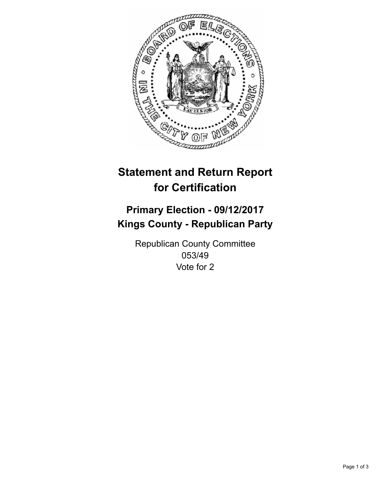

## **Statement and Return Report for Certification**

## **Primary Election - 09/12/2017 Kings County - Republican Party**

Republican County Committee 053/49 Vote for 2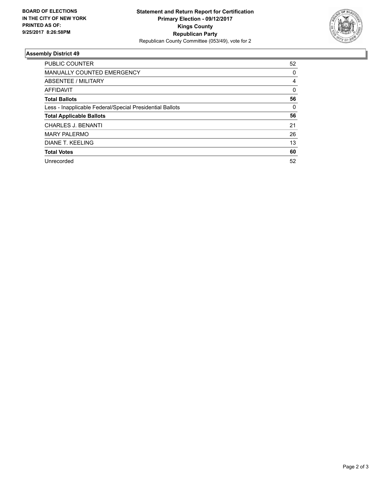

## **Assembly District 49**

| <b>PUBLIC COUNTER</b>                                    | 52 |
|----------------------------------------------------------|----|
| <b>MANUALLY COUNTED EMERGENCY</b>                        | 0  |
| ABSENTEE / MILITARY                                      | 4  |
| AFFIDAVIT                                                | 0  |
| <b>Total Ballots</b>                                     | 56 |
| Less - Inapplicable Federal/Special Presidential Ballots | 0  |
| <b>Total Applicable Ballots</b>                          | 56 |
| <b>CHARLES J. BENANTI</b>                                | 21 |
| <b>MARY PALERMO</b>                                      | 26 |
| DIANE T. KEELING                                         | 13 |
| <b>Total Votes</b>                                       | 60 |
| Unrecorded                                               | 52 |